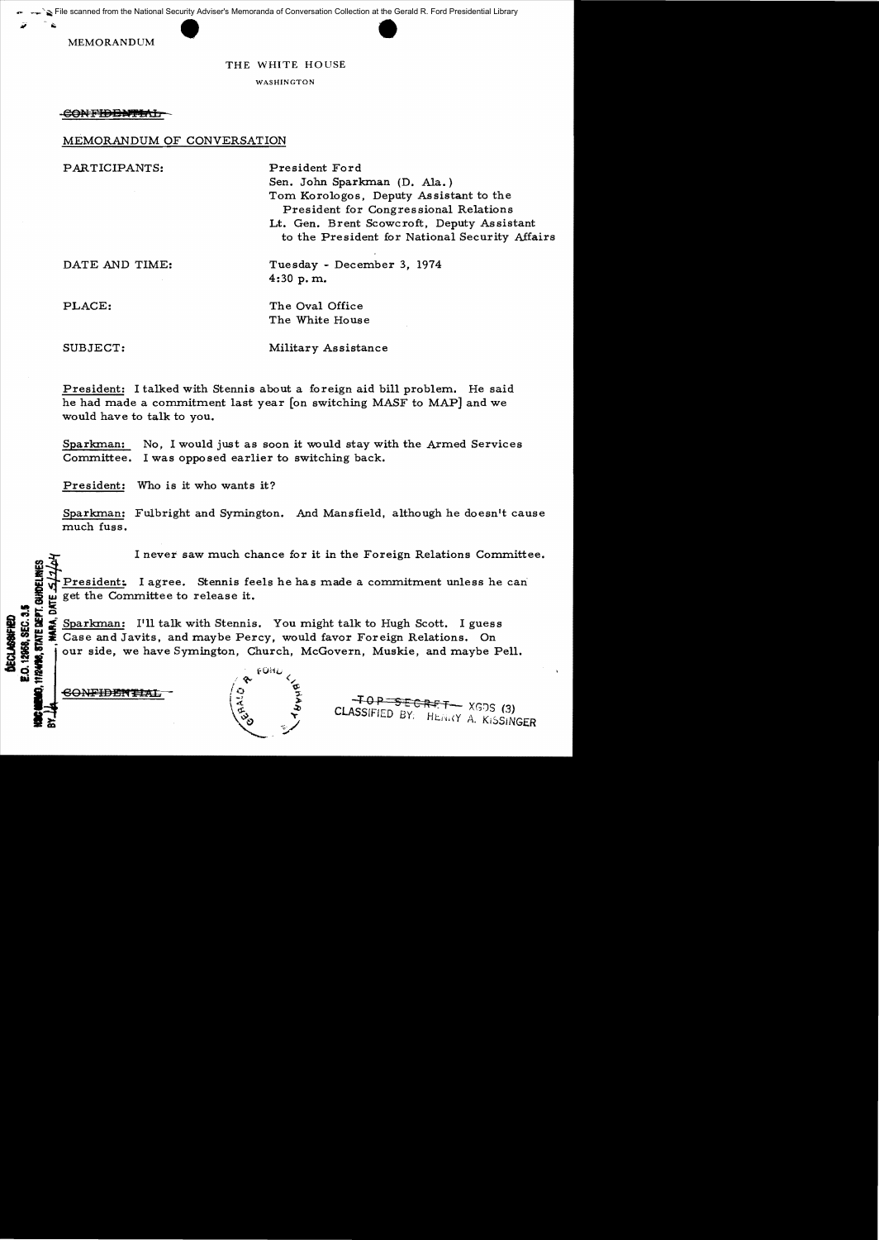File scanned from the National Security Adviser's Memoranda of Conversation Collection at the Gerald R. Ford Presidential Library

MEMORANDUM

## THE WHITE HOUSE

WASHINGTON

**CONFIDENTIAL** 

## MEMORANDUM OF CONVERSATION

| PARTICIPANTS:  | President Ford<br>Sen. John Sparkman (D. Ala.)<br>Tom Korologos, Deputy Assistant to the<br>President for Congressional Relations<br>Lt. Gen. Brent Scowcroft, Deputy Assistant<br>to the President for National Security Affairs |
|----------------|-----------------------------------------------------------------------------------------------------------------------------------------------------------------------------------------------------------------------------------|
| DATE AND TIME: | Tuesday - December 3, 1974<br>$4:30$ p.m.                                                                                                                                                                                         |

PLACE: The Oval Office

SUBJECT: Military Assistance

The White House

President: I talked with Stennis about a foreign aid bill problem. He said he had made a commitment last year [on switching MASF to MAP] and we would have to talk to you.

Sparkman: No, I would just as soon it would stay with the Armed Services Committee. I was opposed earlier to switching back.

President: Who is it who wants it?

Sparkman: Fulbright and Symington. And Mansfield, although he doesn't cause much fuss.

I never saw much chance for it in the Foreign Relations Committee.

of President: I agree. Stennis feels he has made a commitment unless he can<br>Some get the Committee to release it.

solutions of the Committee to release it.<br>  $\sum_{n=0}^{\infty}$  Sparkman: I'll talk with Stennis<br>  $\sum_{n=0}^{\infty}$  Case and Javits, and maybe Per **of the Sparkman:** I'll talk with Stennis. You might talk to Hugh Scott. I guess<br> **2008** Sections Case and Javits, and maybe Percy, would favor Foreign Relations. On<br> **3008** Sections of the Space Symington, Church, McGover Case and Javits, and maybe Percy, would favor Foreign Relations. On our side, we have Symington, Church, McGovern, Muskie, and maybe Pell.

CONFIDENTIA

**j d**ECI<br>| E.O. 12|<br>**EMO, 112498 -::** 

**lli** 



-TOP SECRET XGDS (3) CLASSIFIED BY: HENRY A. KISSINGER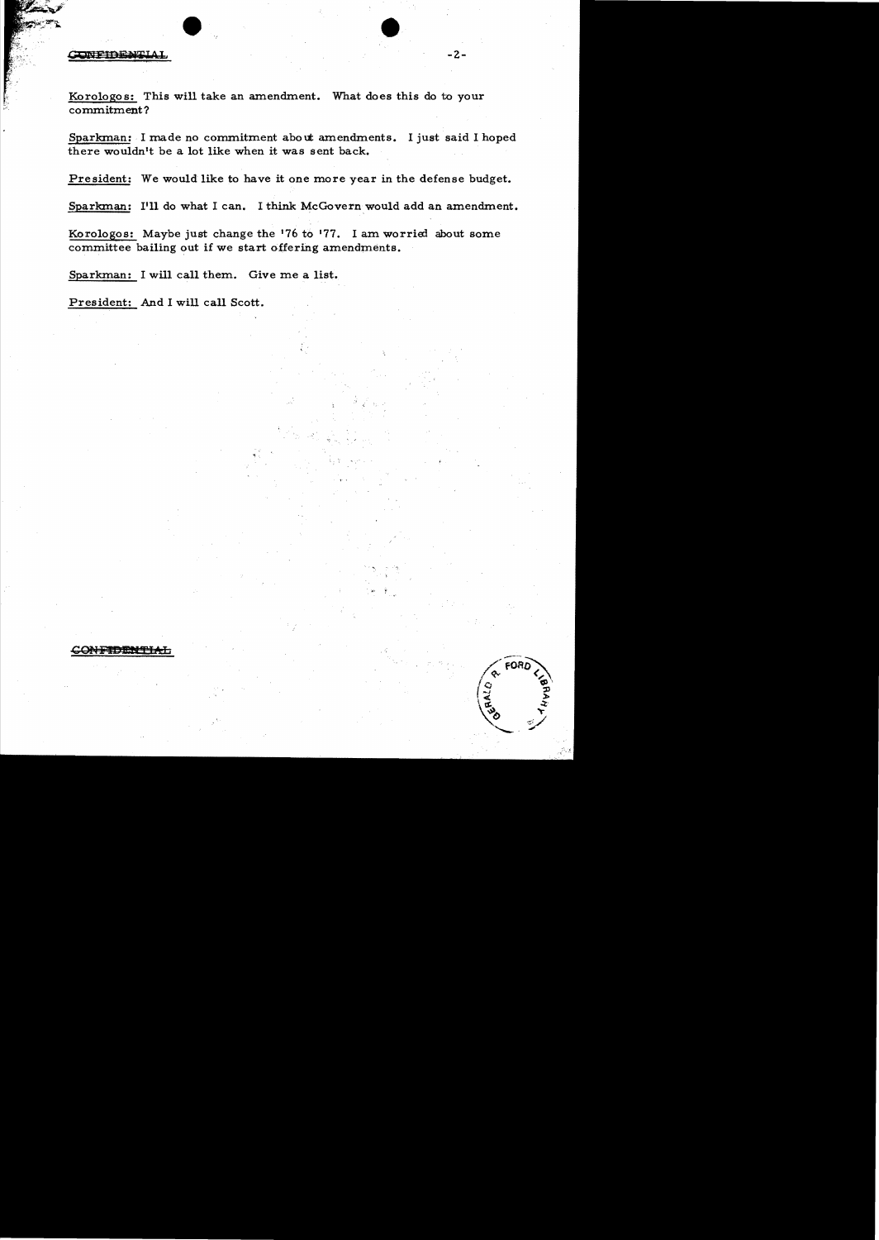## **ONFIDENTIAI**

Korologos: This will take an amendment. What does this do to your commitment?

Sparkman: I made no commitment about amendments. I just said I hoped there wouldn't be a lot like when it was sent back.

 $-2-$ 

President: We would like to have it one more year in the defense budget.

Sparkman: I'll do what I can. I think McGovern would add an amendment.

Korologos: Maybe just change the '76 to '77. I am worried about some committee bailing out if we start o{fering amendments.

Sparkman: I will call them. Give me a list.

President: And I will call Scott.

CONFIDEN